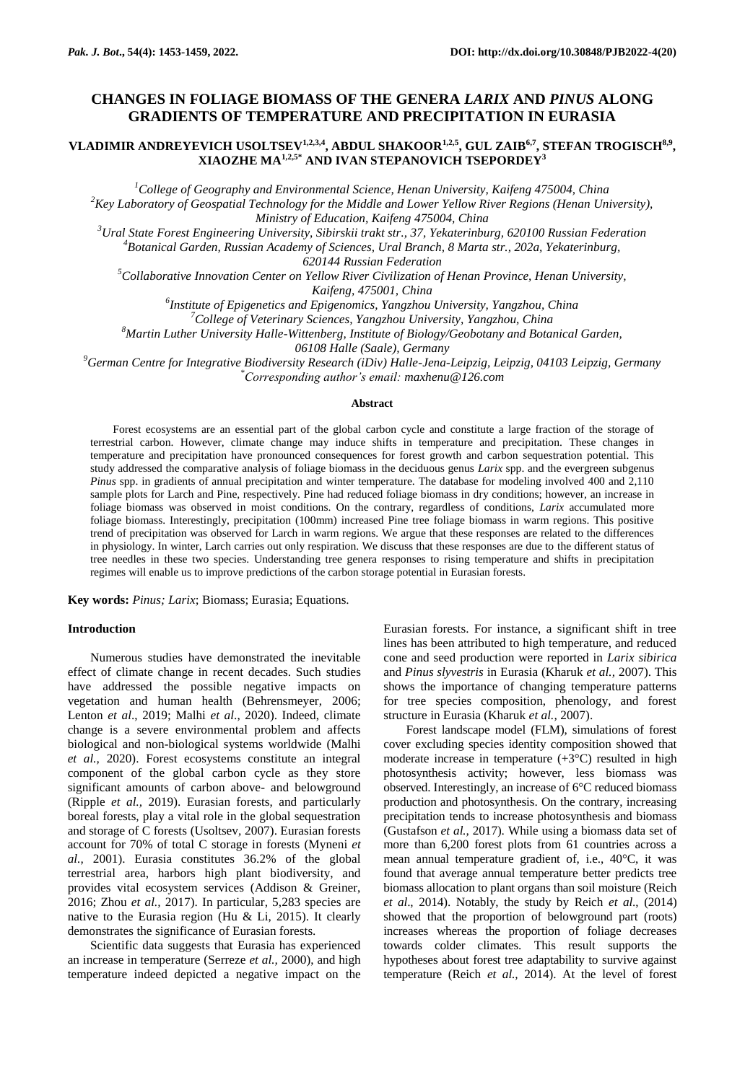# **CHANGES IN FOLIAGE BIOMASS OF THE GENERA** *LARIX* **AND** *PINUS* **ALONG GRADIENTS OF TEMPERATURE AND PRECIPITATION IN EURASIA**

# **VLADIMIR ANDREYEVICH USOLTSEV1,2,3,4, ABDUL SHAKOOR1,2,5, GUL ZAIB6,7 , STEFAN TROGISCH8,9 , XIAOZHE MA1,2,5\* AND IVAN STEPANOVICH TSEPORDEY<sup>3</sup>**

*<sup>1</sup>College of Geography and Environmental Science, Henan University, Kaifeng 475004, China* 

*<sup>2</sup>Key Laboratory of Geospatial Technology for the Middle and Lower Yellow River Regions (Henan University), Ministry of Education, Kaifeng 475004, China*

*<sup>3</sup>Ural State Forest Engineering University, Sibirskii trakt str., 37, Yekaterinburg, 620100 Russian Federation*

*<sup>4</sup>Botanical Garden, Russian Academy of Sciences, Ural Branch, 8 Marta str., 202a, Yekaterinburg,* 

*620144 Russian Federation*

*<sup>5</sup>Collaborative Innovation Center on Yellow River Civilization of Henan Province, Henan University,* 

*Kaifeng, 475001, China*

*6 Institute of Epigenetics and Epigenomics, Yangzhou University, Yangzhou, China*

*<sup>7</sup>College of Veterinary Sciences, Yangzhou University, Yangzhou, China*

*<sup>8</sup>Martin Luther University Halle-Wittenberg, Institute of Biology/Geobotany and Botanical Garden,* 

*06108 Halle (Saale), Germany*

*<sup>9</sup>German Centre for Integrative Biodiversity Research (iDiv) Halle-Jena-Leipzig, Leipzig, 04103 Leipzig, Germany \*Corresponding author's email: [maxhenu@126.com](mailto:maxhenu@126.com)*

### **Abstract**

Forest ecosystems are an essential part of the global carbon cycle and constitute a large fraction of the storage of terrestrial carbon. However, climate change may induce shifts in temperature and precipitation. These changes in temperature and precipitation have pronounced consequences for forest growth and carbon sequestration potential. This study addressed the comparative analysis of foliage biomass in the deciduous genus *Larix* spp. and the evergreen subgenus *Pinus* spp. in gradients of annual precipitation and winter temperature. The database for modeling involved 400 and 2,110 sample plots for Larch and Pine, respectively. Pine had reduced foliage biomass in dry conditions; however, an increase in foliage biomass was observed in moist conditions. On the contrary, regardless of conditions, *Larix* accumulated more foliage biomass. Interestingly, precipitation (100mm) increased Pine tree foliage biomass in warm regions. This positive trend of precipitation was observed for Larch in warm regions. We argue that these responses are related to the differences in physiology. In winter, Larch carries out only respiration. We discuss that these responses are due to the different status of tree needles in these two species. Understanding tree genera responses to rising temperature and shifts in precipitation regimes will enable us to improve predictions of the carbon storage potential in Eurasian forests.

**Key words:** *Pinus; Larix*; Biomass; Eurasia; Equations.

#### **Introduction**

Numerous studies have demonstrated the inevitable effect of climate change in recent decades. Such studies have addressed the possible negative impacts on vegetation and human health (Behrensmeyer, 2006; Lenton *et al*., 2019; Malhi *et al*., 2020). Indeed, climate change is a severe environmental problem and affects biological and non-biological systems worldwide (Malhi *et al.,* 2020). Forest ecosystems constitute an integral component of the global carbon cycle as they store significant amounts of carbon above- and belowground (Ripple *et al.,* 2019). Eurasian forests, and particularly boreal forests, play a vital role in the global sequestration and storage of C forests (Usoltsev*,* 2007). Eurasian forests account for 70% of total C storage in forests (Myneni *et al.,* 2001). Eurasia constitutes 36.2% of the global terrestrial area, harbors high plant biodiversity, and provides vital ecosystem services (Addison & Greiner, 2016; Zhou *et al.,* 2017). In particular, 5,283 species are native to the Eurasia region (Hu & Li, 2015). It clearly demonstrates the significance of Eurasian forests.

Scientific data suggests that Eurasia has experienced an increase in temperature (Serreze *et al.,* 2000), and high temperature indeed depicted a negative impact on the Eurasian forests. For instance, a significant shift in tree lines has been attributed to high temperature, and reduced cone and seed production were reported in *Larix sibirica* and *Pinus slyvestris* in Eurasia (Kharuk *et al.,* 2007). This shows the importance of changing temperature patterns for tree species composition, phenology, and forest structure in Eurasia (Kharuk *et al.,* 2007).

Forest landscape model (FLM), simulations of forest cover excluding species identity composition showed that moderate increase in temperature  $(+3°C)$  resulted in high photosynthesis activity; however, less biomass was observed. Interestingly, an increase of 6°C reduced biomass production and photosynthesis. On the contrary, increasing precipitation tends to increase photosynthesis and biomass (Gustafson *et al.,* 2017). While using a biomass data set of more than 6,200 forest plots from 61 countries across a mean annual temperature gradient of, i.e., 40°C, it was found that average annual temperature better predicts tree biomass allocation to plant organs than soil moisture (Reich *et al*., 2014). Notably, the study by Reich *et al*., (2014) showed that the proportion of belowground part (roots) increases whereas the proportion of foliage decreases towards colder climates. This result supports the hypotheses about forest tree adaptability to survive against temperature (Reich *et al.,* 2014). At the level of forest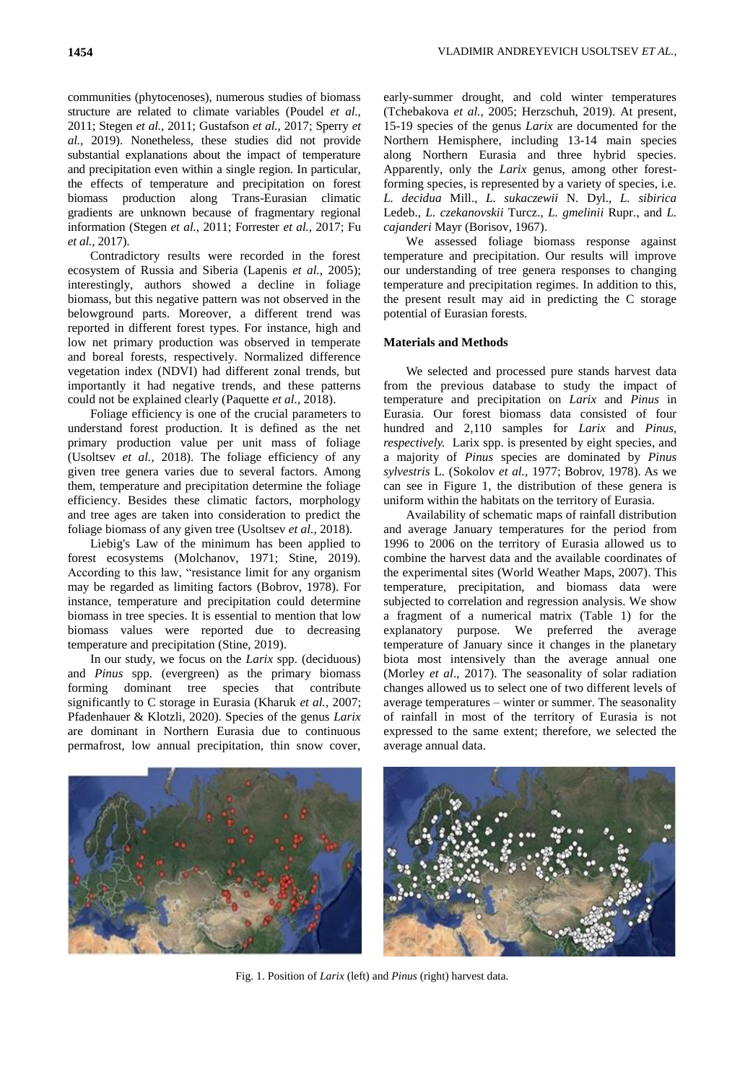communities (phytocenoses), numerous studies of biomass structure are related to climate variables (Poudel *et al.,* 2011; Stegen *et al.,* 2011; Gustafson *et al.,* 2017; Sperry *et al.,* 2019). Nonetheless, these studies did not provide substantial explanations about the impact of temperature and precipitation even within a single region. In particular, the effects of temperature and precipitation on forest biomass production along Trans-Eurasian climatic gradients are unknown because of fragmentary regional information (Stegen *et al.,* 2011; Forrester *et al.,* 2017; Fu *et al.,* 2017).

Contradictory results were recorded in the forest ecosystem of Russia and Siberia (Lapenis *et al.,* 2005); interestingly, authors showed a decline in foliage biomass, but this negative pattern was not observed in the belowground parts. Moreover, a different trend was reported in different forest types. For instance, high and low net primary production was observed in temperate and boreal forests, respectively. Normalized difference vegetation index (NDVI) had different zonal trends, but importantly it had negative trends, and these patterns could not be explained clearly (Paquette *et al.,* 2018).

Foliage efficiency is one of the crucial parameters to understand forest production. It is defined as the net primary production value per unit mass of foliage (Usoltsev *et al.,* 2018). The foliage efficiency of any given tree genera varies due to several factors. Among them, temperature and precipitation determine the foliage efficiency. Besides these climatic factors, morphology and tree ages are taken into consideration to predict the foliage biomass of any given tree (Usoltsev *et al.,* 2018).

Liebig's Law of the minimum has been applied to forest ecosystems (Molchanov, 1971; Stine, 2019). According to this law, "resistance limit for any organism may be regarded as limiting factors (Bobrov, 1978). For instance, temperature and precipitation could determine biomass in tree species. It is essential to mention that low biomass values were reported due to decreasing temperature and precipitation (Stine, 2019).

In our study, we focus on the *Larix* spp*.* (deciduous) and *Pinus* spp*.* (evergreen) as the primary biomass forming dominant tree species that contribute significantly to C storage in Eurasia (Kharuk *et al.,* 2007; Pfadenhauer & Klotzli, 2020). Species of the genus *Larix*  are dominant in Northern Eurasia due to continuous permafrost, low annual precipitation, thin snow cover, early-summer drought, and cold winter temperatures (Tchebakova *et al.,* 2005; Herzschuh, 2019). At present, 15-19 species of the genus *Larix* are documented for the Northern Hemisphere, including 13-14 main species along Northern Eurasia and three hybrid species. Apparently, only the *Larix* genus, among other forestforming species, is represented by a variety of species, i.e. *L. decidua* Mill., *L. sukaczewii* N. Dyl., *L. sibirica* Ledeb., *L. czekanovskii* Turcz., *L. gmelinii* Rupr., and *L. cajanderi* Mayr (Borisov, 1967).

We assessed foliage biomass response against temperature and precipitation. Our results will improve our understanding of tree genera responses to changing temperature and precipitation regimes. In addition to this, the present result may aid in predicting the C storage potential of Eurasian forests.

# **Materials and Methods**

We selected and processed pure stands harvest data from the previous database to study the impact of temperature and precipitation on *Larix* and *Pinus* in Eurasia. Our forest biomass data consisted of four hundred and 2,110 samples for *Larix* and *Pinus, respectively.* Larix spp. is presented by eight species, and a majority of *Pinus* species are dominated by *Pinus sylvestris* L. (Sokolov *et al.,* 1977; Bobrov, 1978). As we can see in Figure 1, the distribution of these genera is uniform within the habitats on the territory of Eurasia.

Availability of schematic maps of rainfall distribution and average January temperatures for the period from 1996 to 2006 on the territory of Eurasia allowed us to combine the harvest data and the available coordinates of the experimental sites (World Weather Maps, 2007). This temperature, precipitation, and biomass data were subjected to correlation and regression analysis. We show a fragment of a numerical matrix (Table 1) for the explanatory purpose. We preferred the average temperature of January since it changes in the planetary biota most intensively than the average annual one (Morley *et al*., 2017). The seasonality of solar radiation changes allowed us to select one of two different levels of average temperatures – winter or summer. The seasonality of rainfall in most of the territory of Eurasia is not expressed to the same extent; therefore, we selected the average annual data.



Fig. 1. Position of *Larix* (left) and *Pinus* (right) harvest data.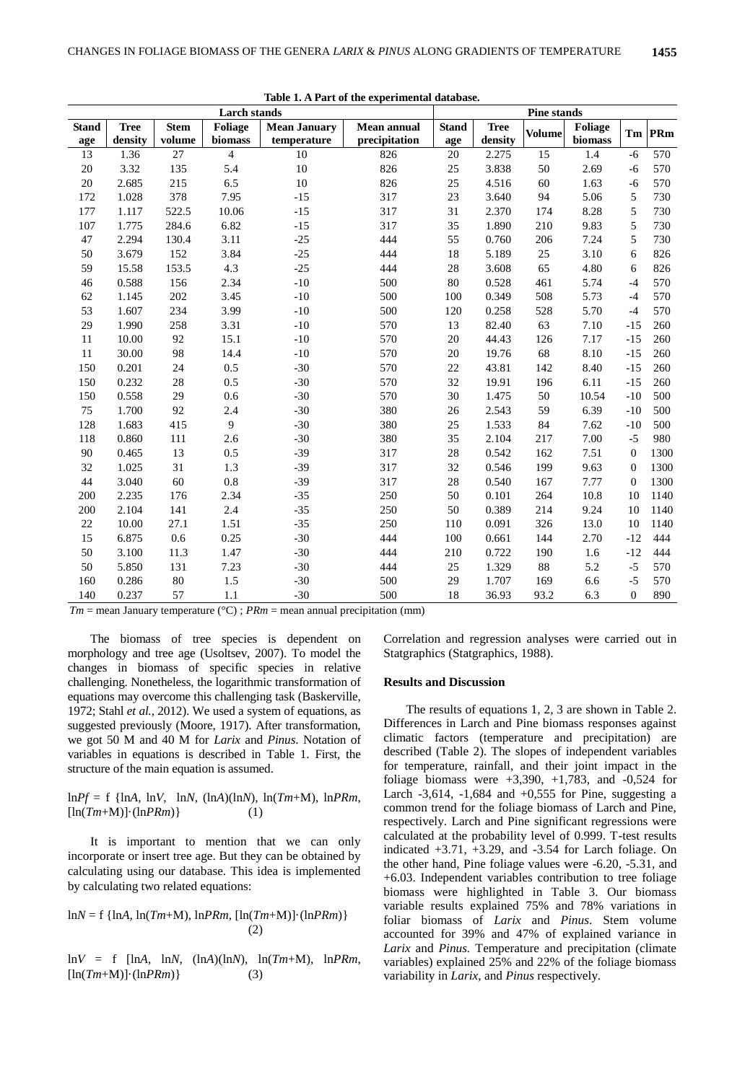|              |             |             | <b>Larch stands</b> |                     |                    |              | <b>Pine stands</b> |               |         |                |      |
|--------------|-------------|-------------|---------------------|---------------------|--------------------|--------------|--------------------|---------------|---------|----------------|------|
| <b>Stand</b> | <b>Tree</b> | <b>Stem</b> | Foliage             | <b>Mean January</b> | <b>Mean annual</b> | <b>Stand</b> | <b>Tree</b>        | <b>Volume</b> | Foliage | Tm             | PRm  |
| age          | density     | volume      | biomass             | temperature         | precipitation      | age          | density            |               | biomass |                |      |
| 13           | 1.36        | 27          | $\overline{4}$      | 10                  | 826                | 20           | 2.275              | 15            | 1.4     | $-6$           | 570  |
| $20\,$       | 3.32        | 135         | 5.4                 | 10                  | 826                | 25           | 3.838              | 50            | 2.69    | $-6$           | 570  |
| 20           | 2.685       | 215         | 6.5                 | 10                  | 826                | 25           | 4.516              | 60            | 1.63    | $-6$           | 570  |
| 172          | 1.028       | 378         | 7.95                | $-15$               | 317                | 23           | 3.640              | 94            | 5.06    | 5              | 730  |
| 177          | 1.117       | 522.5       | 10.06               | $-15$               | 317                | 31           | 2.370              | 174           | 8.28    | 5              | 730  |
| 107          | 1.775       | 284.6       | 6.82                | $-15$               | 317                | 35           | 1.890              | 210           | 9.83    | 5              | 730  |
| 47           | 2.294       | 130.4       | 3.11                | $-25$               | 444                | 55           | 0.760              | 206           | 7.24    | 5              | 730  |
| 50           | 3.679       | 152         | 3.84                | $-25$               | 444                | 18           | 5.189              | 25            | 3.10    | 6              | 826  |
| 59           | 15.58       | 153.5       | 4.3                 | $-25$               | 444                | 28           | 3.608              | 65            | 4.80    | 6              | 826  |
| 46           | 0.588       | 156         | 2.34                | $-10$               | 500                | 80           | 0.528              | 461           | 5.74    | $-4$           | 570  |
| 62           | 1.145       | 202         | 3.45                | $-10$               | 500                | 100          | 0.349              | 508           | 5.73    | $-4$           | 570  |
| 53           | 1.607       | 234         | 3.99                | $-10$               | 500                | 120          | 0.258              | 528           | 5.70    | $-4$           | 570  |
| 29           | 1.990       | 258         | 3.31                | $-10$               | 570                | 13           | 82.40              | 63            | 7.10    | $-15$          | 260  |
| 11           | 10.00       | 92          | 15.1                | $-10$               | 570                | 20           | 44.43              | 126           | 7.17    | $-15$          | 260  |
| 11           | 30.00       | 98          | 14.4                | $-10$               | 570                | 20           | 19.76              | 68            | 8.10    | $-15$          | 260  |
| 150          | 0.201       | 24          | 0.5                 | $-30$               | 570                | 22           | 43.81              | 142           | 8.40    | $-15$          | 260  |
| 150          | 0.232       | 28          | 0.5                 | $-30$               | 570                | 32           | 19.91              | 196           | 6.11    | $-15$          | 260  |
| 150          | 0.558       | 29          | 0.6                 | $-30$               | 570                | 30           | 1.475              | 50            | 10.54   | $-10$          | 500  |
| 75           | 1.700       | 92          | 2.4                 | $-30$               | 380                | 26           | 2.543              | 59            | 6.39    | $-10$          | 500  |
| 128          | 1.683       | 415         | 9                   | $-30$               | 380                | 25           | 1.533              | 84            | 7.62    | $-10$          | 500  |
| 118          | 0.860       | 111         | 2.6                 | $-30$               | 380                | 35           | 2.104              | 217           | 7.00    | $-5$           | 980  |
| 90           | 0.465       | 13          | 0.5                 | $-39$               | 317                | 28           | 0.542              | 162           | 7.51    | $\mathbf{0}$   | 1300 |
| 32           | 1.025       | 31          | 1.3                 | $-39$               | 317                | 32           | 0.546              | 199           | 9.63    | $\overline{0}$ | 1300 |
| 44           | 3.040       | 60          | 0.8                 | $-39$               | 317                | 28           | 0.540              | 167           | 7.77    | $\overline{0}$ | 1300 |
| 200          | 2.235       | 176         | 2.34                | $-35$               | 250                | 50           | 0.101              | 264           | 10.8    | 10             | 1140 |
| 200          | 2.104       | 141         | 2.4                 | $-35$               | 250                | 50           | 0.389              | 214           | 9.24    | 10             | 1140 |
| 22           | 10.00       | 27.1        | 1.51                | $-35$               | 250                | 110          | 0.091              | 326           | 13.0    | 10             | 1140 |
| 15           | 6.875       | 0.6         | 0.25                | $-30$               | 444                | 100          | 0.661              | 144           | 2.70    | $-12$          | 444  |
| 50           | 3.100       | 11.3        | 1.47                | $-30$               | 444                | 210          | 0.722              | 190           | 1.6     | $-12$          | 444  |
| 50           | 5.850       | 131         | 7.23                | $-30$               | 444                | 25           | 1.329              | 88            | 5.2     | $-5$           | 570  |
| 160          | 0.286       | 80          | 1.5                 | $-30$               | 500                | 29           | 1.707              | 169           | 6.6     | $-5$           | 570  |
| 140          | 0.237       | 57          | 1.1                 | $-30$               | 500                | 18           | 36.93              | 93.2          | 6.3     | $\mathbf{0}$   | 890  |

**Table 1. A Part of the experimental database.**

 $Tm$  = mean January temperature ( $\degree$ C) ; *PRm* = mean annual precipitation (mm)

The biomass of tree species is dependent on morphology and tree age (Usoltsev, 2007). To model the changes in biomass of specific species in relative challenging. Nonetheless, the logarithmic transformation of equations may overcome this challenging task (Baskerville, 1972; Stahl *et al.,* 2012). We used a system of equations, as suggested previously (Moore, 1917). After transformation, we got 50 M and 40 M for *Larix* and *Pinus*. Notation of variables in equations is described in Table 1. First, the structure of the main equation is assumed.

 $lnPf = f$  {ln*A*, ln*V*, ln*N*, (ln*A*)(ln*N*), ln(*Tm*+M), ln*PRm*,  $[\ln(Tm+M)]\cdot(\ln PRm)$  (1)

It is important to mention that we can only incorporate or insert tree age. But they can be obtained by calculating using our database. This idea is implemented by calculating two related equations:

ln*N* = f {ln*A,* ln(*Tm*+M), ln*PRm*, [ln(*Tm*+M)]·(ln*PRm*)} (2)

 $lnV = f$  [ln*A*,  $lnN$ , (ln*A*)(ln*N*), ln(*Tm*+M), ln*PRm*,  $[\ln(Tm+M)] \cdot (\ln PRm)$  (3)

Correlation and regression analyses were carried out in Statgraphics (Statgraphics, 1988).

## **Results and Discussion**

The results of equations 1, 2, 3 are shown in Table 2. Differences in Larch and Pine biomass responses against climatic factors (temperature and precipitation) are described (Table 2). The slopes of independent variables for temperature, rainfall, and their joint impact in the foliage biomass were  $+3,390, +1,783$ , and  $-0,524$  for Larch  $-3,614$ ,  $-1,684$  and  $+0,555$  for Pine, suggesting a common trend for the foliage biomass of Larch and Pine, respectively. Larch and Pine significant regressions were calculated at the probability level of 0.999. T-test results indicated +3.71, +3.29, and -3.54 for Larch foliage. On the other hand, Pine foliage values were -6.20, -5.31, and +6.03. Independent variables contribution to tree foliage biomass were highlighted in Table 3. Our biomass variable results explained 75% and 78% variations in foliar biomass of *Larix* and *Pinus*. Stem volume accounted for 39% and 47% of explained variance in *Larix* and *Pinus.* Temperature and precipitation (climate variables) explained 25% and 22% of the foliage biomass variability in *Larix*, and *Pinus* respectively.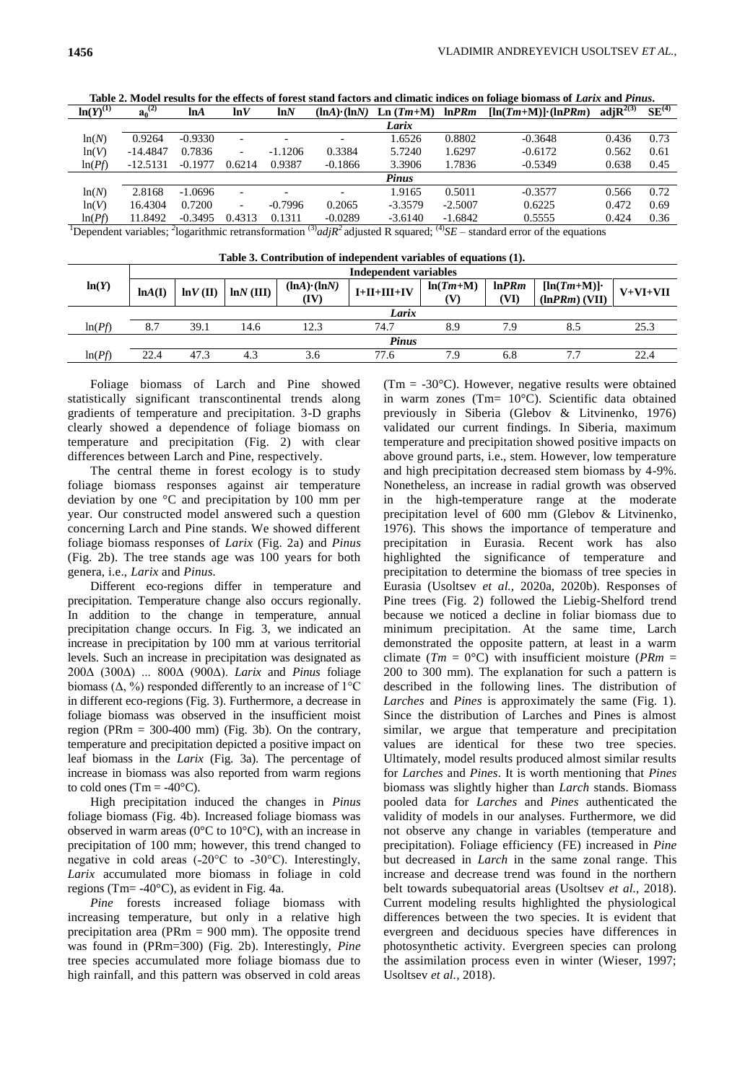| $\overline{\ln(Y)}^{(1)}$ | $\overline{\mathbf{a}_0}^{(2)}$ | lnA       | lnV                      | lnN       | $(lnA) \cdot (lnN)$ | $Ln(Tm+M)$ | ln PRm    | $[\ln(Tm+M)] \cdot (\ln PRm)$ | adj $\mathbf{R}^{2(3)}$ | $SE^{(4)}$ |
|---------------------------|---------------------------------|-----------|--------------------------|-----------|---------------------|------------|-----------|-------------------------------|-------------------------|------------|
|                           |                                 |           |                          |           |                     | Larix      |           |                               |                         |            |
| ln(N)                     | 0.9264                          | $-0.9330$ | $\overline{\phantom{0}}$ |           |                     | 1.6526     | 0.8802    | $-0.3648$                     | 0.436                   | 0.73       |
| ln(V)                     | $-14.4847$                      | 0.7836    | $\overline{\phantom{0}}$ | $-1.1206$ | 0.3384              | 5.7240     | 1.6297    | $-0.6172$                     | 0.562                   | 0.61       |
| ln(Pf)                    | $-12.5131$                      | $-0.1977$ | 0.6214                   | 0.9387    | $-0.1866$           | 3.3906     | 1.7836    | $-0.5349$                     | 0.638                   | 0.45       |
|                           |                                 |           |                          |           |                     | Pinus      |           |                               |                         |            |
| ln(N)                     | 2.8168                          | $-1.0696$ | $\overline{\phantom{0}}$ |           |                     | 1.9165     | 0.5011    | $-0.3577$                     | 0.566                   | 0.72       |
| ln(V)                     | 16.4304                         | 0.7200    | $\overline{\phantom{0}}$ | $-0.7996$ | 0.2065              | $-3.3579$  | $-2.5007$ | 0.6225                        | 0.472                   | 0.69       |
| ln(Pf)                    | 11.8492                         | $-0.3495$ | 0.4313                   | 0.1311    | $-0.0289$           | $-3.6140$  | $-1.6842$ | 0.5555                        | 0.424                   | 0.36       |
| $\frac{1}{10}$            |                                 |           |                          |           |                     |            |           |                               |                         |            |

**Table 2. Model results for the effects of forest stand factors and climatic indices on foliage biomass of** *Larix* **and** *Pinus***.**

<sup>1</sup>Dependent variables; <sup>2</sup>logarithmic retransformation <sup>(3)</sup>*adjR*<sup>2</sup> adjusted R squared; <sup>(4)</sup>*SE* – standard error of the equations

| Table 3. Contribution of independent variables of equations (1). |                              |             |             |                             |               |                 |                |                                  |            |  |  |  |
|------------------------------------------------------------------|------------------------------|-------------|-------------|-----------------------------|---------------|-----------------|----------------|----------------------------------|------------|--|--|--|
|                                                                  | <b>Independent variables</b> |             |             |                             |               |                 |                |                                  |            |  |  |  |
| ln(Y)                                                            | ln(A(I))                     | $ln V$ (II) | $lnN$ (III) | $(lnA) \cdot (lnN)$<br>(IV) | $I+II+III+IV$ | $ln(Tm+M)$<br>w | ln PRm<br>(VI) | $[\ln(Tm+M)]$<br>$(lnPRm)$ (VII) | $V+VI+VII$ |  |  |  |
|                                                                  | Larix                        |             |             |                             |               |                 |                |                                  |            |  |  |  |
| ln(Pf)                                                           | 8.7                          | 39.1        | 14.6        | 12.3                        | 74.7          | 8.9             | 7.9            | 8.5                              | 25.3       |  |  |  |
|                                                                  | <b>Pinus</b>                 |             |             |                             |               |                 |                |                                  |            |  |  |  |
| ln(Pf)                                                           | 22.4                         | 47.3        | 4.3         | 3.6                         | 77.6          | 7.9             | 6.8            | 7.7                              | 22.4       |  |  |  |

Foliage biomass of Larch and Pine showed statistically significant transcontinental trends along gradients of temperature and precipitation. 3-D graphs clearly showed a dependence of foliage biomass on temperature and precipitation (Fig. 2) with clear differences between Larch and Pine, respectively.

The central theme in forest ecology is to study foliage biomass responses against air temperature deviation by one °C and precipitation by 100 mm per year. Our constructed model answered such a question concerning Larch and Pine stands. We showed different foliage biomass responses of *Larix* (Fig. 2a) and *Pinus* (Fig. 2b). The tree stands age was 100 years for both genera, i.e., *Larix* and *Pinus.*

Different eco-regions differ in temperature and precipitation. Temperature change also occurs regionally. In addition to the change in temperature, annual precipitation change occurs. In Fig. 3, we indicated an increase in precipitation by 100 mm at various territorial levels. Such an increase in precipitation was designated as 200Δ (300Δ) ... 800Δ (900Δ). *Larix* and *Pinus* foliage biomass  $(\Delta, \%)$  responded differently to an increase of  $1^{\circ}C$ in different eco-regions (Fig. 3). Furthermore, a decrease in foliage biomass was observed in the insufficient moist region (PRm  $= 300-400$  mm) (Fig. 3b). On the contrary, temperature and precipitation depicted a positive impact on leaf biomass in the *Larix* (Fig. 3a). The percentage of increase in biomass was also reported from warm regions to cold ones (Tm =  $-40^{\circ}$ C).

High precipitation induced the changes in *Pinus* foliage biomass (Fig. 4b). Increased foliage biomass was observed in warm areas (0°C to 10°C), with an increase in precipitation of 100 mm; however, this trend changed to negative in cold areas (-20 $^{\circ}$ C to -30 $^{\circ}$ C). Interestingly, *Larix* accumulated more biomass in foliage in cold regions (Tm= -40°C), as evident in Fig. 4a.

*Pine* forests increased foliage biomass with increasing temperature, but only in a relative high precipitation area (PRm = 900 mm). The opposite trend was found in (PRm=300) (Fig. 2b). Interestingly, *Pine* tree species accumulated more foliage biomass due to high rainfall, and this pattern was observed in cold areas (Tm =  $-30^{\circ}$ C). However, negative results were obtained in warm zones (Tm= 10°C). Scientific data obtained previously in Siberia (Glebov & Litvinenko, 1976) validated our current findings. In Siberia, maximum temperature and precipitation showed positive impacts on above ground parts, i.e., stem. However, low temperature and high precipitation decreased stem biomass by 4-9%. Nonetheless, an increase in radial growth was observed in the high-temperature range at the moderate precipitation level of 600 mm (Glebov & Litvinenko, 1976). This shows the importance of temperature and precipitation in Eurasia. Recent work has also highlighted the significance of temperature and precipitation to determine the biomass of tree species in Eurasia (Usoltsev *et al.,* 2020a, 2020b). Responses of Pine trees (Fig. 2) followed the Liebig-Shelford trend because we noticed a decline in foliar biomass due to minimum precipitation. At the same time, Larch demonstrated the opposite pattern, at least in a warm climate  $(Tm = 0^{\circ}C)$  with insufficient moisture (*PRm* = 200 to 300 mm). The explanation for such a pattern is described in the following lines. The distribution of *Larches* and *Pines* is approximately the same (Fig. 1). Since the distribution of Larches and Pines is almost similar, we argue that temperature and precipitation values are identical for these two tree species. Ultimately, model results produced almost similar results for *Larches* and *Pines*. It is worth mentioning that *Pines*  biomass was slightly higher than *Larch* stands. Biomass pooled data for *Larches* and *Pines* authenticated the validity of models in our analyses. Furthermore, we did not observe any change in variables (temperature and precipitation). Foliage efficiency (FE) increased in *Pine* but decreased in *Larch* in the same zonal range. This increase and decrease trend was found in the northern belt towards subequatorial areas (Usoltsev *et al.,* 2018). Current modeling results highlighted the physiological differences between the two species. It is evident that evergreen and deciduous species have differences in photosynthetic activity. Evergreen species can prolong the assimilation process even in winter (Wieser, 1997; Usoltsev *et al.,* 2018).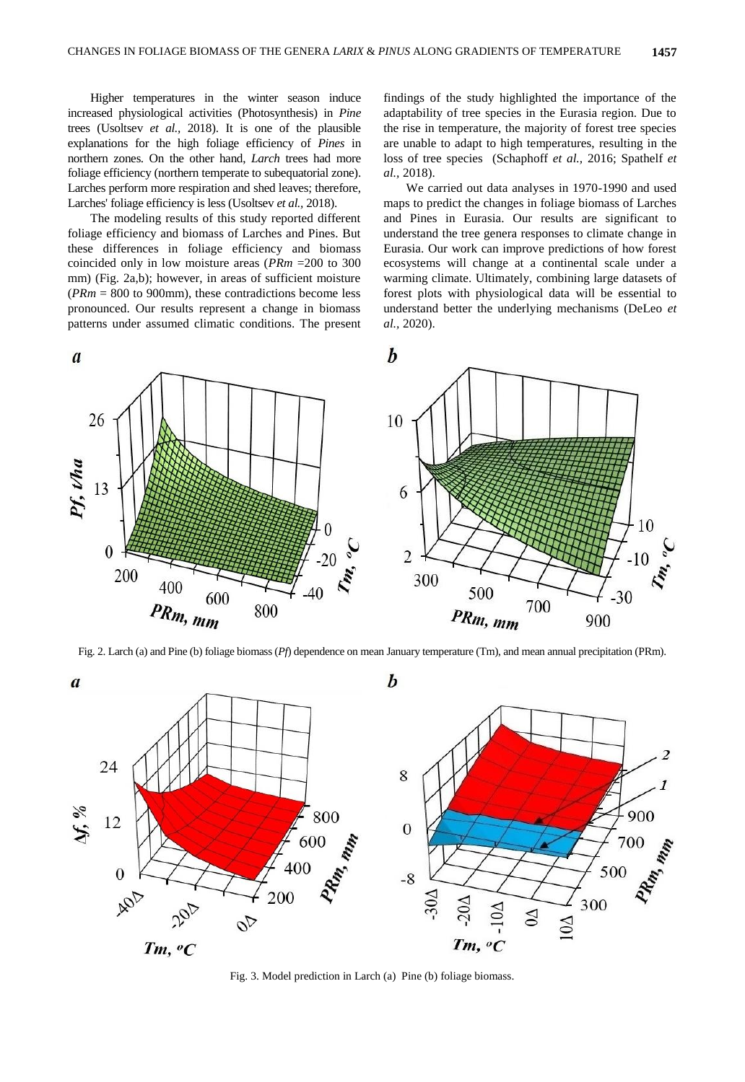Higher temperatures in the winter season induce increased physiological activities (Photosynthesis) in *Pine*  trees (Usoltsev *et al.,* 2018). It is one of the plausible explanations for the high foliage efficiency of *Pines* in northern zones. On the other hand, *Larch* trees had more foliage efficiency (northern temperate to subequatorial zone). Larches perform more respiration and shed leaves; therefore, Larches' foliage efficiency is less (Usoltsev *et al.,* 2018).

The modeling results of this study reported different foliage efficiency and biomass of Larches and Pines. But these differences in foliage efficiency and biomass coincided only in low moisture areas (*PRm* =200 to 300 mm) (Fig. 2a,b); however, in areas of sufficient moisture (*PRm* = 800 to 900mm), these contradictions become less pronounced. Our results represent a change in biomass patterns under assumed climatic conditions. The present

findings of the study highlighted the importance of the adaptability of tree species in the Eurasia region. Due to the rise in temperature, the majority of forest tree species are unable to adapt to high temperatures, resulting in the loss of tree species (Schaphoff *et al.,* 2016; Spathelf *et al.,* 2018).

We carried out data analyses in 1970-1990 and used maps to predict the changes in foliage biomass of Larches and Pines in Eurasia. Our results are significant to understand the tree genera responses to climate change in Eurasia. Our work can improve predictions of how forest ecosystems will change at a continental scale under a warming climate. Ultimately, combining large datasets of forest plots with physiological data will be essential to understand better the underlying mechanisms (DeLeo *et al.,* 2020).



Fig. 2. Larch (a) and Pine (b) foliage biomass (*Pf*) dependence on mean January temperature (Tm), and mean annual precipitation (PRm).



Fig. 3. Model prediction in Larch (a) Pine (b) foliage biomass.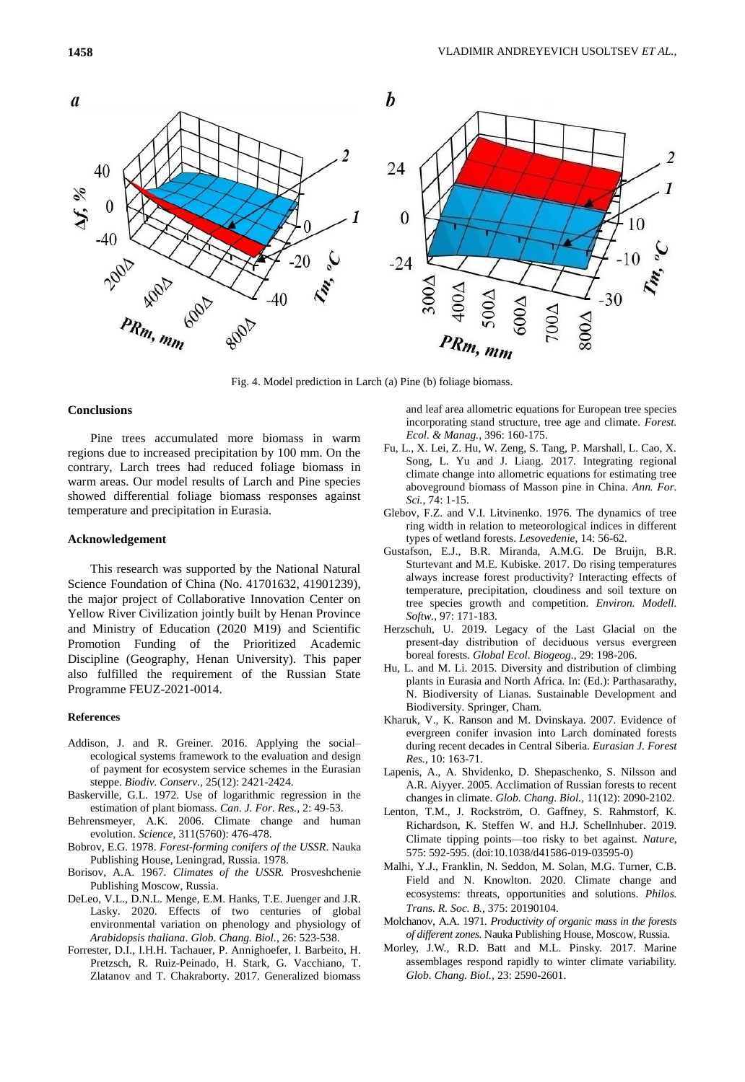

Fig. 4. Model prediction in Larch (a) Pine (b) foliage biomass.

### **Conclusions**

Pine trees accumulated more biomass in warm regions due to increased precipitation by 100 mm. On the contrary, Larch trees had reduced foliage biomass in warm areas. Our model results of Larch and Pine species showed differential foliage biomass responses against temperature and precipitation in Eurasia.

### **Acknowledgement**

This research was supported by the National Natural Science Foundation of China (No. 41701632, 41901239), the major project of Collaborative Innovation Center on Yellow River Civilization jointly built by Henan Province and Ministry of Education (2020 M19) and Scientific Promotion Funding of the Prioritized Academic Discipline (Geography, Henan University). This paper also fulfilled the requirement of the Russian State Programme FEUZ-2021-0014.

#### **References**

- Addison, J. and R. Greiner. 2016. Applying the social– ecological systems framework to the evaluation and design of payment for ecosystem service schemes in the Eurasian steppe. *Biodiv. Conserv.,* 25(12): 2421-2424.
- Baskerville, G.L. 1972. Use of logarithmic regression in the estimation of plant biomass. *Can. J. For. Res.,* 2: 49-53.
- Behrensmeyer, A.K. 2006. Climate change and human evolution. *Science,* 311(5760): 476-478.
- Bobrov, E.G. 1978. *Forest-forming conifers of the USSR*. Nauka Publishing House, Leningrad, Russia. 1978.
- Borisov, A.A. 1967. *Climates of the USSR.* Prosveshchenie Publishing Moscow, Russia.
- DeLeo, V.L., D.N.L. Menge, E.M. Hanks, T.E. Juenger and J.R. Lasky. 2020. Effects of two centuries of global environmental variation on phenology and physiology of *Arabidopsis thaliana*. *Glob. Chang. Biol.,* 26: 523-538.
- Forrester, D.I., I.H.H. Tachauer, P. Annighoefer, I. Barbeito, H. Pretzsch, R. Ruiz-Peinado, H. Stark, G. Vacchiano, T. Zlatanov and T. Chakraborty. 2017. Generalized biomass

and leaf area allometric equations for European tree species incorporating stand structure, tree age and climate. *Forest. Ecol. & Manag.,* 396: 160-175.

- Fu, L., X. Lei, Z. Hu, W. Zeng, S. Tang, P. Marshall, L. Cao, X. Song, L. Yu and J. Liang. 2017. Integrating regional climate change into allometric equations for estimating tree aboveground biomass of Masson pine in China. *Ann. For. Sci.,* 74: 1-15.
- Glebov, F.Z. and V.I. Litvinenko. 1976. The dynamics of tree ring width in relation to meteorological indices in different types of wetland forests. *Lesovedenie,* 14: 56-62.
- Gustafson, E.J., B.R. Miranda, A.M.G. De Bruijn, B.R. Sturtevant and M.E. Kubiske. 2017. Do rising temperatures always increase forest productivity? Interacting effects of temperature, precipitation, cloudiness and soil texture on tree species growth and competition. *Environ. Modell. Softw.,* 97: 171-183.
- Herzschuh, U. 2019. Legacy of the Last Glacial on the present‐day distribution of deciduous versus evergreen boreal forests. *Global Ecol. Biogeog.,* 29: 198-206.
- Hu, L. and M. Li. 2015. Diversity and distribution of climbing plants in Eurasia and North Africa. In: (Ed.): Parthasarathy, N. Biodiversity of Lianas. Sustainable Development and Biodiversity. Springer, Cham.
- Kharuk, V., K. Ranson and M. Dvinskaya. 2007. Evidence of evergreen conifer invasion into Larch dominated forests during recent decades in Central Siberia. *Eurasian J. Forest Res.,* 10: 163-71.
- Lapenis, A., A. Shvidenko, D. Shepaschenko, S. Nilsson and A.R. Aiyyer. 2005. Acclimation of Russian forests to recent changes in climate. *Glob. Chang. Biol.,* 11(12): 2090-2102.
- Lenton, T.M., J. Rockström, O. Gaffney, S. Rahmstorf, K. Richardson, K. Steffen W. and H.J. Schellnhuber. 2019. Climate tipping points—too risky to bet against. *Nature*, 575: 592-595. (doi:10.1038/d41586-019-03595-0)
- Malhi, Y.J., Franklin, N. Seddon, M. Solan, M.G. Turner, C.B. Field and N. Knowlton. 2020. Climate change and ecosystems: threats, opportunities and solutions. *Philos. Trans. R. Soc. B.,* 375: 20190104.
- Molchanov, A.A. 1971*. Productivity of organic mass in the forests of different zones.* Nauka Publishing House, Moscow, Russia.
- Morley, J.W., R.D. Batt and M.L. Pinsky. 2017. Marine assemblages respond rapidly to winter climate variability. *Glob. Chang. Biol.,* 23: 2590-2601.